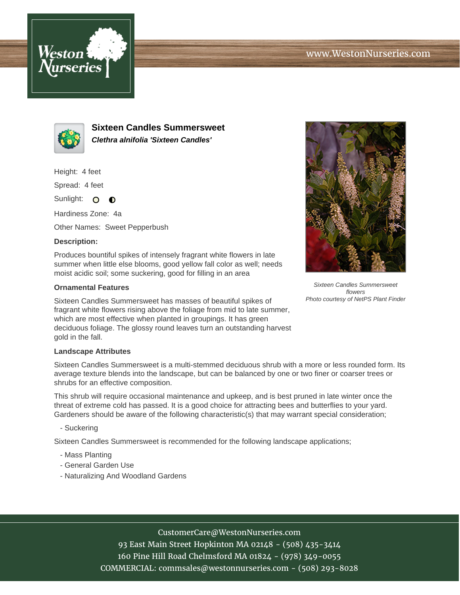



**Sixteen Candles Summersweet Clethra alnifolia 'Sixteen Candles'**

Height: 4 feet

Spread: 4 feet

Sunlight: O  $\bullet$ 

Hardiness Zone: 4a

Other Names: Sweet Pepperbush

## **Description:**

Produces bountiful spikes of intensely fragrant white flowers in late summer when little else blooms, good yellow fall color as well; needs moist acidic soil; some suckering, good for filling in an area

## **Ornamental Features**

Sixteen Candles Summersweet has masses of beautiful spikes of fragrant white flowers rising above the foliage from mid to late summer, which are most effective when planted in groupings. It has green deciduous foliage. The glossy round leaves turn an outstanding harvest gold in the fall.

## **Landscape Attributes**

Sixteen Candles Summersweet is a multi-stemmed deciduous shrub with a more or less rounded form. Its average texture blends into the landscape, but can be balanced by one or two finer or coarser trees or shrubs for an effective composition.

This shrub will require occasional maintenance and upkeep, and is best pruned in late winter once the threat of extreme cold has passed. It is a good choice for attracting bees and butterflies to your yard. Gardeners should be aware of the following characteristic(s) that may warrant special consideration;

- Suckering

Sixteen Candles Summersweet is recommended for the following landscape applications;

- Mass Planting
- General Garden Use
- Naturalizing And Woodland Gardens



93 East Main Street Hopkinton MA 02148 - (508) 435-3414 160 Pine Hill Road Chelmsford MA 01824 - (978) 349-0055 COMMERCIAL: commsales@westonnurseries.com - (508) 293-8028



Sixteen Candles Summersweet flowers Photo courtesy of NetPS Plant Finder